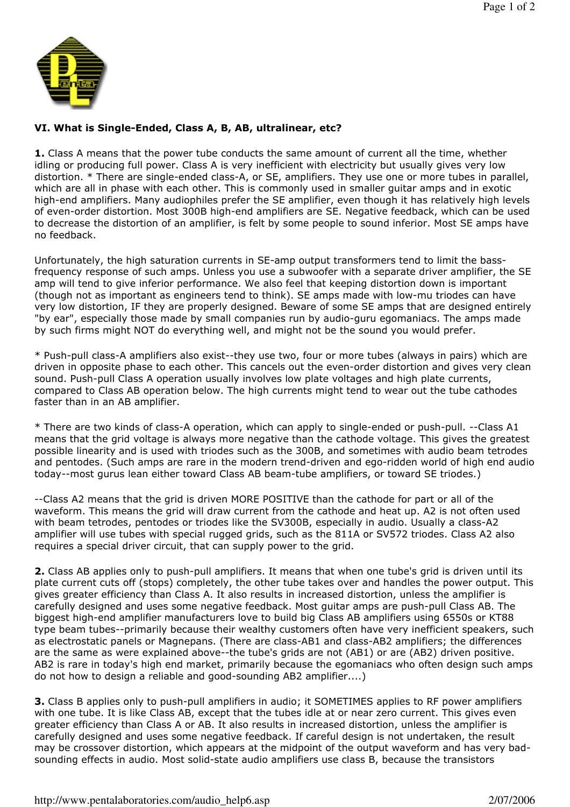

## VI. What is Single-Ended, Class A, B, AB, ultralinear, etc?

**1.** Class A means that the power tube conducts the same amount of current all the time, whether idling or producing full power. Class A is very inefficient with electricity but usually gives very low distortion. \* There are single-ended class-A, or SE, amplifiers. They use one or more tubes in parallel, which are all in phase with each other. This is commonly used in smaller guitar amps and in exotic high-end amplifiers. Many audiophiles prefer the SE amplifier, even though it has relatively high levels of even-order distortion. Most 300B high-end amplifiers are SE. Negative feedback, which can be used to decrease the distortion of an amplifier, is felt by some people to sound inferior. Most SE amps have no feedback.

Unfortunately, the high saturation currents in SE-amp output transformers tend to limit the bassfrequency response of such amps. Unless you use a subwoofer with a separate driver amplifier, the SE amp will tend to give inferior performance. We also feel that keeping distortion down is important (though not as important as engineers tend to think). SE amps made with low-mu triodes can have very low distortion, IF they are properly designed. Beware of some SE amps that are designed entirely "by ear", especially those made by small companies run by audio-guru egomaniacs. The amps made by such firms might NOT do everything well, and might not be the sound you would prefer.

\* Push-pull class-A amplifiers also exist--they use two, four or more tubes (always in pairs) which are driven in opposite phase to each other. This cancels out the even-order distortion and gives very clean sound. Push-pull Class A operation usually involves low plate voltages and high plate currents, compared to Class AB operation below. The high currents might tend to wear out the tube cathodes faster than in an AB amplifier.

\* There are two kinds of class-A operation, which can apply to single-ended or push-pull. --Class A1 means that the grid voltage is always more negative than the cathode voltage. This gives the greatest possible linearity and is used with triodes such as the 300B, and sometimes with audio beam tetrodes and pentodes. (Such amps are rare in the modern trend-driven and ego-ridden world of high end audio today--most gurus lean either toward Class AB beam-tube amplifiers, or toward SE triodes.)

--Class A2 means that the grid is driven MORE POSITIVE than the cathode for part or all of the waveform. This means the grid will draw current from the cathode and heat up. A2 is not often used with beam tetrodes, pentodes or triodes like the SV300B, especially in audio. Usually a class-A2 amplifier will use tubes with special rugged grids, such as the 811A or SV572 triodes. Class A2 also requires a special driver circuit, that can supply power to the grid.

2. Class AB applies only to push-pull amplifiers. It means that when one tube's grid is driven until its plate current cuts off (stops) completely, the other tube takes over and handles the power output. This gives greater efficiency than Class A. It also results in increased distortion, unless the amplifier is carefully designed and uses some negative feedback. Most guitar amps are push-pull Class AB. The biggest high-end amplifier manufacturers love to build big Class AB amplifiers using 6550s or KT88 type beam tubes--primarily because their wealthy customers often have very inefficient speakers, such as electrostatic panels or Magnepans. (There are class-AB1 and class-AB2 amplifiers; the differences are the same as were explained above--the tube's grids are not (AB1) or are (AB2) driven positive. AB2 is rare in today's high end market, primarily because the egomaniacs who often design such amps do not how to design a reliable and good-sounding AB2 amplifier....)

**3.** Class B applies only to push-pull amplifiers in audio; it SOMETIMES applies to RF power amplifiers with one tube. It is like Class AB, except that the tubes idle at or near zero current. This gives even greater efficiency than Class A or AB. It also results in increased distortion, unless the amplifier is carefully designed and uses some negative feedback. If careful design is not undertaken, the result may be crossover distortion, which appears at the midpoint of the output waveform and has very badsounding effects in audio. Most solid-state audio amplifiers use class B, because the transistors